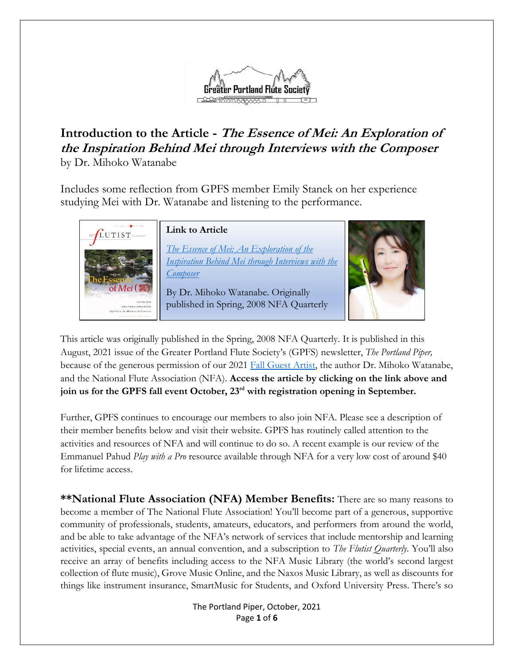

## **Introduction to the Article - The Essence of Mei: An Exploration of the Inspiration Behind Mei through Interviews with the Composer** by Dr. Mihoko Watanabe

Includes some reflection from GPFS member Emily Stanek on her experience studying Mei with Dr. Watanabe and listening to the performance.



This article was originally published in the Spring, 2008 NFA Quarterly. It is published in this August, 2021 issue of the Greater Portland Flute Society's (GPFS) newsletter, *The Portland Piper,* because of the generous permission of our 2021 [Fall Guest Artist,](https://gpfs.org/Fall-Guest-Artist) the author Dr. Mihoko Watanabe, and the National Flute Association (NFA). **Access the article by clicking on the link above and join us for the GPFS fall event October, 23rd with registration opening in September.**

Further, GPFS continues to encourage our members to also join NFA. Please see a description of their member benefits below and visit their website. GPFS has routinely called attention to the activities and resources of NFA and will continue to do so. A recent example is our review of the Emmanuel Pahud *Play with a Pro* resource available through NFA for a very low cost of around \$40 for lifetime access.

**\*\*National Flute Association (NFA) Member Benefits:** There are so many reasons to become a member of The National Flute Association! You'll become part of a generous, supportive community of professionals, students, amateurs, educators, and performers from around the world, and be able to take advantage of the NFA's network of services that include mentorship and learning activities, special events, an annual convention, and a subscription to *The Flutist Quarterly*. You'll also receive an array of benefits including access to the NFA Music Library (the world's second largest collection of flute music), Grove Music Online, and the Naxos Music Library, as well as discounts for things like instrument insurance, SmartMusic for Students, and Oxford University Press. There's so

> The Portland Piper, October, 2021 Page **1** of **6**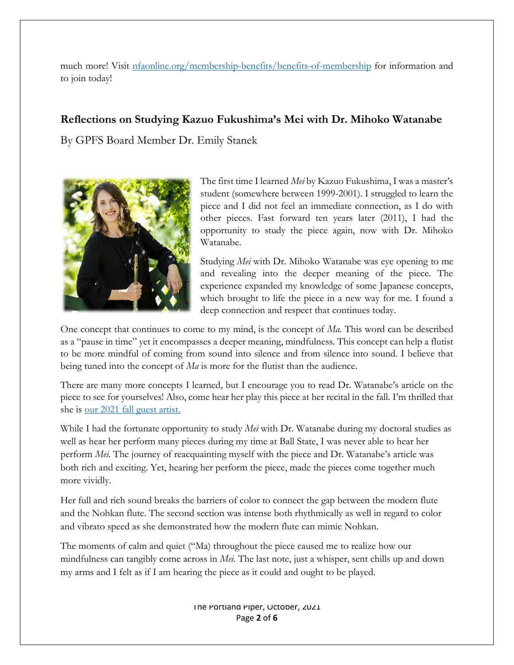much more! Visit [nfaonline.org/membership-benefits/benefits-of-membership](https://www.nfaonline.org/membership-benefits/benefits-of-membership) for information and to join today!

## **Reflections on Studying Kazuo Fukushima's Mei with Dr. Mihoko Watanabe**

By GPFS Board Member Dr. Emily Stanek



The first time I learned *Mei* by Kazuo Fukushima, I was a master's student (somewhere between 1999-2001). I struggled to learn the piece and I did not feel an immediate connection, as I do with other pieces. Fast forward ten years later (2011), I had the opportunity to study the piece again, now with Dr. Mihoko Watanabe.

Studying *Mei* with Dr. Mihoko Watanabe was eye opening to me and revealing into the deeper meaning of the piece. The experience expanded my knowledge of some Japanese concepts, which brought to life the piece in a new way for me. I found a deep connection and respect that continues today.

One concept that continues to come to my mind, is the concept of *Ma.* This word can be described as a "pause in time" yet it encompasses a deeper meaning, mindfulness. This concept can help a flutist to be more mindful of coming from sound into silence and from silence into sound. I believe that being tuned into the concept of *Ma* is more for the flutist than the audience.

There are many more concepts I learned, but I encourage you to read Dr. Watanabe's article on the piece to see for yourselves! Also, come hear her play this piece at her recital in the fall. I'm thrilled that she is [our 2021 fall guest artist.](https://gpfs.org/Fall-Guest-Artist)

While I had the fortunate opportunity to study *Mei* with Dr. Watanabe during my doctoral studies as well as hear her perform many pieces during my time at Ball State, I was never able to hear her perform *Mei.* The journey of reacquainting myself with the piece and Dr. Watanabe's article was both rich and exciting. Yet, hearing her perform the piece, made the pieces come together much more vividly.

Her full and rich sound breaks the barriers of color to connect the gap between the modern flute and the Nohkan flute. The second section was intense both rhythmically as well in regard to color and vibrato speed as she demonstrated how the modern flute can mimic Nohkan.

The moments of calm and quiet ("Ma) throughout the piece caused me to realize how our mindfulness can tangibly come across in *Mei.* The last note, just a whisper, sent chills up and down my arms and I felt as if I am hearing the piece as it could and ought to be played.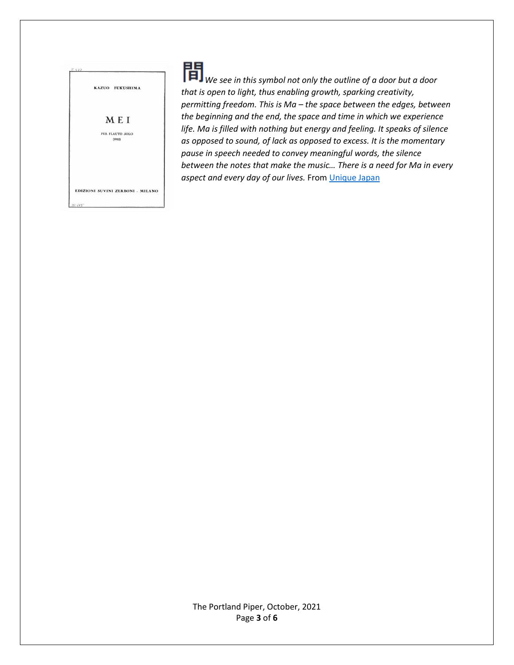

*We see in this symbol not only the outline of a door but a door that is open to light, thus enabling growth, sparking creativity, permitting freedom. This is Ma – the space between the edges, between the beginning and the end, the space and time in which we experience life. Ma is filled with nothing but energy and feeling. It speaks of silence as opposed to sound, of lack as opposed to excess. It is the momentary pause in speech needed to convey meaningful words, the silence between the notes that make the music… There is a need for Ma in every aspect and every day of our lives.* From [Unique Japan](https://new.uniquejapan.com/ikebana/ma/)

The Portland Piper, October, 2021 Page **3** of **6**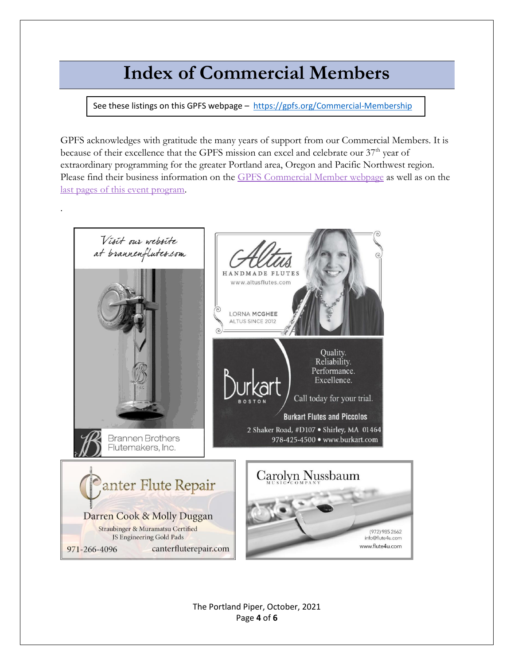## **Index of Commercial Members**

<span id="page-3-0"></span>See these listings on this GPFS webpage - <https://gpfs.org/Commercial-Membership>

GPFS acknowledges with gratitude the many years of support from our Commercial Members. It is because of their excellence that the GPFS mission can excel and celebrate our 37<sup>th</sup> year of extraordinary programming for the greater Portland area, Oregon and Pacific Northwest region. Please find their business information on the [GPFS Commercial Member webpage](https://greaterportlandflutesociety.wildapricot.org/Commercial-Membership) as well as on the [last pages of this event program.](#page-3-0)



The Portland Piper, October, 2021 Page **4** of **6**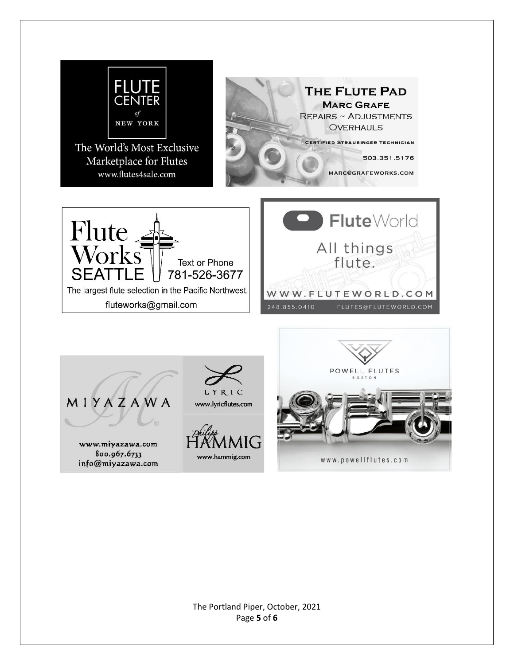

The Portland Piper, October, 2021 Page **5** of **6**